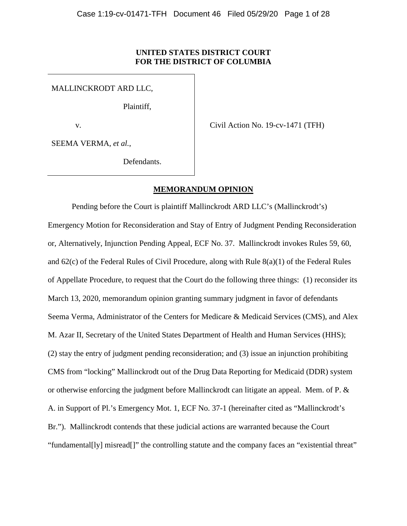### **UNITED STATES DISTRICT COURT FOR THE DISTRICT OF COLUMBIA**

MALLINCKRODT ARD LLC,

Plaintiff,

v.

Civil Action No. 19-cv-1471 (TFH)

SEEMA VERMA, *et al.*,

Defendants.

## **MEMORANDUM OPINION**

Pending before the Court is plaintiff Mallinckrodt ARD LLC's (Mallinckrodt's) Emergency Motion for Reconsideration and Stay of Entry of Judgment Pending Reconsideration or, Alternatively, Injunction Pending Appeal, ECF No. 37. Mallinckrodt invokes Rules 59, 60, and 62(c) of the Federal Rules of Civil Procedure, along with Rule 8(a)(1) of the Federal Rules of Appellate Procedure, to request that the Court do the following three things: (1) reconsider its March 13, 2020, memorandum opinion granting summary judgment in favor of defendants Seema Verma, Administrator of the Centers for Medicare & Medicaid Services (CMS), and Alex M. Azar II, Secretary of the United States Department of Health and Human Services (HHS); (2) stay the entry of judgment pending reconsideration; and (3) issue an injunction prohibiting CMS from "locking" Mallinckrodt out of the Drug Data Reporting for Medicaid (DDR) system or otherwise enforcing the judgment before Mallinckrodt can litigate an appeal. Mem. of P. & A. in Support of Pl.'s Emergency Mot. 1, ECF No. 37-1 (hereinafter cited as "Mallinckrodt's Br."). Mallinckrodt contends that these judicial actions are warranted because the Court "fundamental[ly] misread[]" the controlling statute and the company faces an "existential threat"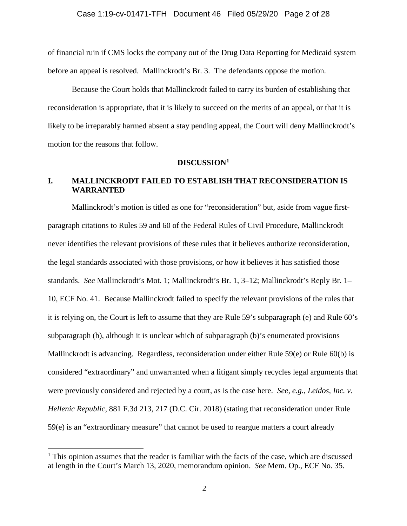of financial ruin if CMS locks the company out of the Drug Data Reporting for Medicaid system before an appeal is resolved. Mallinckrodt's Br. 3. The defendants oppose the motion.

Because the Court holds that Mallinckrodt failed to carry its burden of establishing that reconsideration is appropriate, that it is likely to succeed on the merits of an appeal, or that it is likely to be irreparably harmed absent a stay pending appeal, the Court will deny Mallinckrodt's motion for the reasons that follow.

# **DISCUSSION[1](#page-1-0)**

# **I. MALLINCKRODT FAILED TO ESTABLISH THAT RECONSIDERATION IS WARRANTED**

Mallinckrodt's motion is titled as one for "reconsideration" but, aside from vague firstparagraph citations to Rules 59 and 60 of the Federal Rules of Civil Procedure, Mallinckrodt never identifies the relevant provisions of these rules that it believes authorize reconsideration, the legal standards associated with those provisions, or how it believes it has satisfied those standards. *See* Mallinckrodt's Mot. 1; Mallinckrodt's Br. 1, 3–12; Mallinckrodt's Reply Br. 1– 10, ECF No. 41. Because Mallinckrodt failed to specify the relevant provisions of the rules that it is relying on, the Court is left to assume that they are Rule 59's subparagraph (e) and Rule 60's subparagraph (b), although it is unclear which of subparagraph (b)'s enumerated provisions Mallinckrodt is advancing. Regardless, reconsideration under either Rule 59(e) or Rule 60(b) is considered "extraordinary" and unwarranted when a litigant simply recycles legal arguments that were previously considered and rejected by a court, as is the case here. *See, e.g.*, *Leidos, Inc. v. Hellenic Republic*, 881 F.3d 213, 217 (D.C. Cir. 2018) (stating that reconsideration under Rule 59(e) is an "extraordinary measure" that cannot be used to reargue matters a court already

<span id="page-1-0"></span> $<sup>1</sup>$  This opinion assumes that the reader is familiar with the facts of the case, which are discussed</sup> at length in the Court's March 13, 2020, memorandum opinion. *See* Mem. Op., ECF No. 35.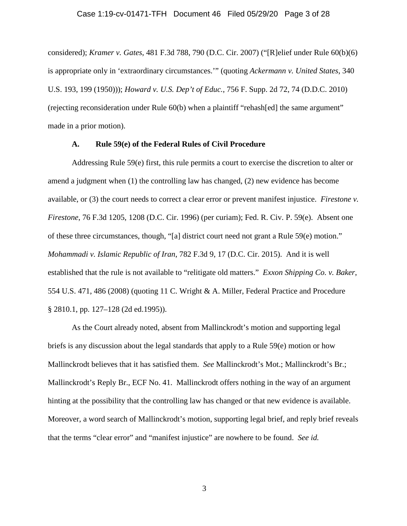#### Case 1:19-cv-01471-TFH Document 46 Filed 05/29/20 Page 3 of 28

considered); *Kramer v. Gates*, 481 F.3d 788, 790 (D.C. Cir. 2007) ("[R]elief under Rule 60(b)(6) is appropriate only in 'extraordinary circumstances.'" (quoting *Ackermann v. United States*, 340 U.S. 193, 199 (1950))); *Howard v. U.S. Dep't of Educ.*, 756 F. Supp. 2d 72, 74 (D.D.C. 2010) (rejecting reconsideration under Rule 60(b) when a plaintiff "rehash[ed] the same argument" made in a prior motion).

### **A. Rule 59(e) of the Federal Rules of Civil Procedure**

Addressing Rule 59(e) first, this rule permits a court to exercise the discretion to alter or amend a judgment when (1) the controlling law has changed, (2) new evidence has become available, or (3) the court needs to correct a clear error or prevent manifest injustice. *Firestone v. Firestone*, 76 F.3d 1205, 1208 (D.C. Cir. 1996) (per curiam); Fed. R. Civ. P. 59(e). Absent one of these three circumstances, though, "[a] district court need not grant a Rule 59(e) motion." *Mohammadi v. Islamic Republic of Iran*, 782 F.3d 9, 17 (D.C. Cir. 2015). And it is well established that the rule is not available to "relitigate old matters." *Exxon Shipping Co. v. Baker*, 554 U.S. 471, 486 (2008) (quoting 11 C. Wright & A. Miller, Federal Practice and Procedure § 2810.1, pp. 127–128 (2d ed.1995)).

As the Court already noted, absent from Mallinckrodt's motion and supporting legal briefs is any discussion about the legal standards that apply to a Rule 59(e) motion or how Mallinckrodt believes that it has satisfied them. *See* Mallinckrodt's Mot.; Mallinckrodt's Br.; Mallinckrodt's Reply Br., ECF No. 41. Mallinckrodt offers nothing in the way of an argument hinting at the possibility that the controlling law has changed or that new evidence is available. Moreover, a word search of Mallinckrodt's motion, supporting legal brief, and reply brief reveals that the terms "clear error" and "manifest injustice" are nowhere to be found. *See id.*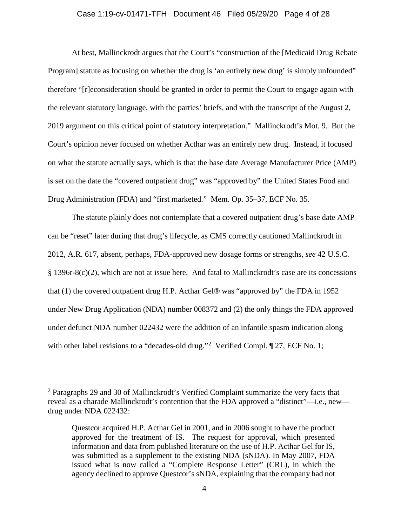#### Case 1:19-cv-01471-TFH Document 46 Filed 05/29/20 Page 4 of 28

At best, Mallinckrodt argues that the Court's "construction of the [Medicaid Drug Rebate Program] statute as focusing on whether the drug is 'an entirely new drug' is simply unfounded" therefore "[r]econsideration should be granted in order to permit the Court to engage again with the relevant statutory language, with the parties' briefs, and with the transcript of the August 2, 2019 argument on this critical point of statutory interpretation." Mallinckrodt's Mot. 9. But the Court's opinion never focused on whether Acthar was an entirely new drug. Instead, it focused on what the statute actually says, which is that the base date Average Manufacturer Price (AMP) is set on the date the "covered outpatient drug" was "approved by" the United States Food and Drug Administration (FDA) and "first marketed." Mem. Op. 35–37, ECF No. 35.

The statute plainly does not contemplate that a covered outpatient drug's base date AMP can be "reset" later during that drug's lifecycle, as CMS correctly cautioned Mallinckrodt in 2012, A.R. 617, absent, perhaps, FDA-approved new dosage forms or strengths, *see* 42 U.S.C. § 1396r-8(c)(2), which are not at issue here. And fatal to Mallinckrodt's case are its concessions that (1) the covered outpatient drug H.P. Acthar Gel® was "approved by" the FDA in 1952 under New Drug Application (NDA) number 008372 and (2) the only things the FDA approved under defunct NDA number 022432 were the addition of an infantile spasm indication along with other label revisions to a "decades-old drug."<sup>[2](#page-3-0)</sup> Verified Compl.  $\P$  27, ECF No. 1;

<span id="page-3-0"></span> $2$  Paragraphs 29 and 30 of Mallinckrodt's Verified Complaint summarize the very facts that reveal as a charade Mallinckrodt's contention that the FDA approved a "distinct"—i.e., new drug under NDA 022432:

Questcor acquired H.P. Acthar Gel in 2001, and in 2006 sought to have the product approved for the treatment of IS. The request for approval, which presented information and data from published literature on the use of H.P. Acthar Gel for IS, was submitted as a supplement to the existing NDA (sNDA). In May 2007, FDA issued what is now called a "Complete Response Letter" (CRL), in which the agency declined to approve Questcor's sNDA, explaining that the company had not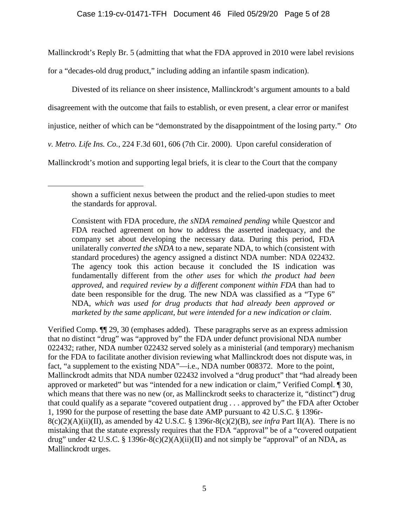Mallinckrodt's Reply Br. 5 (admitting that what the FDA approved in 2010 were label revisions

for a "decades-old drug product," including adding an infantile spasm indication).

 $\overline{a}$ 

Divested of its reliance on sheer insistence, Mallinckrodt's argument amounts to a bald disagreement with the outcome that fails to establish, or even present, a clear error or manifest injustice, neither of which can be "demonstrated by the disappointment of the losing party." *Oto v. Metro. Life Ins. Co.*, 224 F.3d 601, 606 (7th Cir. 2000). Upon careful consideration of Mallinckrodt's motion and supporting legal briefs, it is clear to the Court that the company

Consistent with FDA procedure, *the sNDA remained pending* while Questcor and FDA reached agreement on how to address the asserted inadequacy, and the company set about developing the necessary data. During this period, FDA unilaterally *converted the sNDA* to a new, separate NDA, to which (consistent with standard procedures) the agency assigned a distinct NDA number: NDA 022432. The agency took this action because it concluded the IS indication was fundamentally different from the *other uses* for which *the product had been approved*, and *required review by a different component within FDA* than had to date been responsible for the drug. The new NDA was classified as a "Type 6" NDA, *which was used for drug products that had already been approved or marketed by the same applicant, but were intended for a new indication or claim*.

Verified Comp. ¶¶ 29, 30 (emphases added). These paragraphs serve as an express admission that no distinct "drug" was "approved by" the FDA under defunct provisional NDA number 022432; rather, NDA number 022432 served solely as a ministerial (and temporary) mechanism for the FDA to facilitate another division reviewing what Mallinckrodt does not dispute was, in fact, "a supplement to the existing NDA"—i.e., NDA number 008372. More to the point, Mallinckrodt admits that NDA number 022432 involved a "drug product" that "had already been approved or marketed" but was "intended for a new indication or claim," Verified Compl. ¶ 30, which means that there was no new (or, as Mallinckrodt seeks to characterize it, "distinct") drug that could qualify as a separate "covered outpatient drug . . . approved by" the FDA after October 1, 1990 for the purpose of resetting the base date AMP pursuant to 42 U.S.C. § 1396r-8(c)(2)(A)(ii)(II), as amended by 42 U.S.C. § 1396r-8(c)(2)(B), *see infra* Part II(A). There is no mistaking that the statute expressly requires that the FDA "approval" be of a "covered outpatient drug" under 42 U.S.C. § 1396r-8(c)(2)(A)(ii)(II) and not simply be "approval" of an NDA, as Mallinckrodt urges.

shown a sufficient nexus between the product and the relied-upon studies to meet the standards for approval.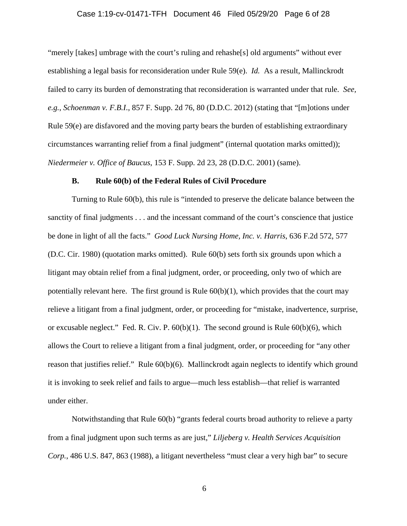#### Case 1:19-cv-01471-TFH Document 46 Filed 05/29/20 Page 6 of 28

"merely [takes] umbrage with the court's ruling and rehashe[s] old arguments" without ever establishing a legal basis for reconsideration under Rule 59(e). *Id.* As a result, Mallinckrodt failed to carry its burden of demonstrating that reconsideration is warranted under that rule. *See, e.g.*, *Schoenman v. F.B.I*., 857 F. Supp. 2d 76, 80 (D.D.C. 2012) (stating that "[m]otions under Rule 59(e) are disfavored and the moving party bears the burden of establishing extraordinary circumstances warranting relief from a final judgment" (internal quotation marks omitted)); *Niedermeier v. Office of Baucus*, 153 F. Supp. 2d 23, 28 (D.D.C. 2001) (same).

#### **B. Rule 60(b) of the Federal Rules of Civil Procedure**

Turning to Rule 60(b), this rule is "intended to preserve the delicate balance between the sanctity of final judgments . . . and the incessant command of the court's conscience that justice be done in light of all the facts." *Good Luck Nursing Home, Inc. v. Harris*, 636 F.2d 572, 577 (D.C. Cir. 1980) (quotation marks omitted). Rule 60(b) sets forth six grounds upon which a litigant may obtain relief from a final judgment, order, or proceeding, only two of which are potentially relevant here. The first ground is Rule  $60(b)(1)$ , which provides that the court may relieve a litigant from a final judgment, order, or proceeding for "mistake, inadvertence, surprise, or excusable neglect." Fed. R. Civ. P.  $60(b)(1)$ . The second ground is Rule  $60(b)(6)$ , which allows the Court to relieve a litigant from a final judgment, order, or proceeding for "any other reason that justifies relief." Rule 60(b)(6). Mallinckrodt again neglects to identify which ground it is invoking to seek relief and fails to argue—much less establish—that relief is warranted under either.

Notwithstanding that Rule 60(b) "grants federal courts broad authority to relieve a party from a final judgment upon such terms as are just," *Liljeberg v. Health Services Acquisition Corp.*, 486 U.S. 847, 863 (1988), a litigant nevertheless "must clear a very high bar" to secure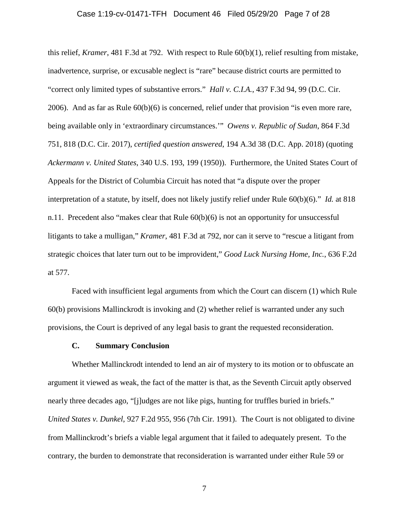#### Case 1:19-cv-01471-TFH Document 46 Filed 05/29/20 Page 7 of 28

this relief, *Kramer*, 481 F.3d at 792. With respect to Rule 60(b)(1), relief resulting from mistake, inadvertence, surprise, or excusable neglect is "rare" because district courts are permitted to "correct only limited types of substantive errors." *Hall v. C.I.A.*, 437 F.3d 94, 99 (D.C. Cir. 2006). And as far as Rule 60(b)(6) is concerned, relief under that provision "is even more rare, being available only in 'extraordinary circumstances.'" *Owens v. Republic of Sudan*, 864 F.3d 751, 818 (D.C. Cir. 2017), *certified question answered*, 194 A.3d 38 (D.C. App. 2018) (quoting *Ackermann v. United States*, 340 U.S. 193, 199 (1950)). Furthermore, the United States Court of Appeals for the District of Columbia Circuit has noted that "a dispute over the proper interpretation of a statute, by itself, does not likely justify relief under Rule 60(b)(6)." *Id.* at 818 n.11. Precedent also "makes clear that Rule 60(b)(6) is not an opportunity for unsuccessful litigants to take a mulligan," *Kramer*, 481 F.3d at 792, nor can it serve to "rescue a litigant from strategic choices that later turn out to be improvident," *Good Luck Nursing Home, Inc.*, 636 F.2d at 577.

Faced with insufficient legal arguments from which the Court can discern (1) which Rule 60(b) provisions Mallinckrodt is invoking and (2) whether relief is warranted under any such provisions, the Court is deprived of any legal basis to grant the requested reconsideration.

#### **C. Summary Conclusion**

Whether Mallinckrodt intended to lend an air of mystery to its motion or to obfuscate an argument it viewed as weak, the fact of the matter is that, as the Seventh Circuit aptly observed nearly three decades ago, "[j]udges are not like pigs, hunting for truffles buried in briefs." *United States v. Dunkel*, 927 F.2d 955, 956 (7th Cir. 1991). The Court is not obligated to divine from Mallinckrodt's briefs a viable legal argument that it failed to adequately present. To the contrary, the burden to demonstrate that reconsideration is warranted under either Rule 59 or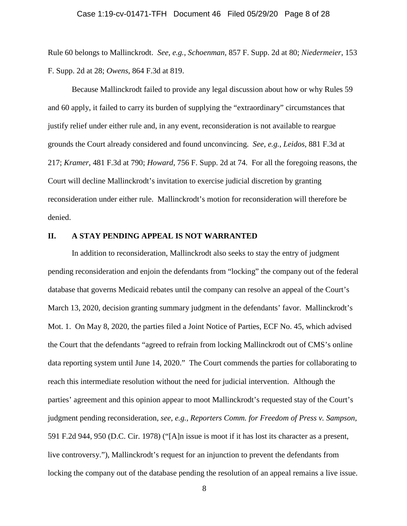#### Case 1:19-cv-01471-TFH Document 46 Filed 05/29/20 Page 8 of 28

Rule 60 belongs to Mallinckrodt. *See, e.g.*, *Schoenman*, 857 F. Supp. 2d at 80; *Niedermeier*, 153 F. Supp. 2d at 28; *Owens*, 864 F.3d at 819.

Because Mallinckrodt failed to provide any legal discussion about how or why Rules 59 and 60 apply, it failed to carry its burden of supplying the "extraordinary" circumstances that justify relief under either rule and, in any event, reconsideration is not available to reargue grounds the Court already considered and found unconvincing. *See, e.g.*, *Leidos*, 881 F.3d at 217; *Kramer*, 481 F.3d at 790; *Howard*, 756 F. Supp. 2d at 74. For all the foregoing reasons, the Court will decline Mallinckrodt's invitation to exercise judicial discretion by granting reconsideration under either rule. Mallinckrodt's motion for reconsideration will therefore be denied.

### **II. A STAY PENDING APPEAL IS NOT WARRANTED**

In addition to reconsideration, Mallinckrodt also seeks to stay the entry of judgment pending reconsideration and enjoin the defendants from "locking" the company out of the federal database that governs Medicaid rebates until the company can resolve an appeal of the Court's March 13, 2020, decision granting summary judgment in the defendants' favor. Mallinckrodt's Mot. 1. On May 8, 2020, the parties filed a Joint Notice of Parties, ECF No. 45, which advised the Court that the defendants "agreed to refrain from locking Mallinckrodt out of CMS's online data reporting system until June 14, 2020." The Court commends the parties for collaborating to reach this intermediate resolution without the need for judicial intervention. Although the parties' agreement and this opinion appear to moot Mallinckrodt's requested stay of the Court's judgment pending reconsideration, *see, e.g.*, *Reporters Comm. for Freedom of Press v. Sampson*, 591 F.2d 944, 950 (D.C. Cir. 1978) ("[A]n issue is moot if it has lost its character as a present, live controversy."), Mallinckrodt's request for an injunction to prevent the defendants from locking the company out of the database pending the resolution of an appeal remains a live issue.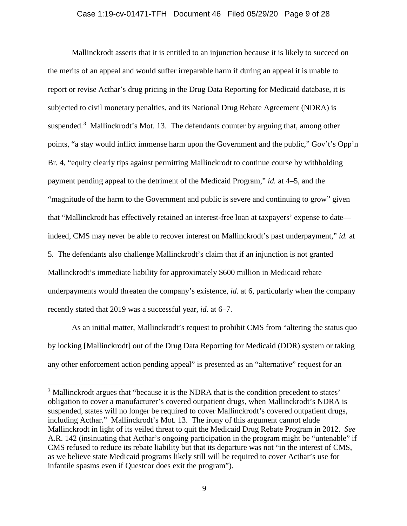#### Case 1:19-cv-01471-TFH Document 46 Filed 05/29/20 Page 9 of 28

Mallinckrodt asserts that it is entitled to an injunction because it is likely to succeed on the merits of an appeal and would suffer irreparable harm if during an appeal it is unable to report or revise Acthar's drug pricing in the Drug Data Reporting for Medicaid database, it is subjected to civil monetary penalties, and its National Drug Rebate Agreement (NDRA) is suspended.<sup>[3](#page-8-0)</sup> Mallinckrodt's Mot. 13. The defendants counter by arguing that, among other points, "a stay would inflict immense harm upon the Government and the public," Gov't's Opp'n Br. 4, "equity clearly tips against permitting Mallinckrodt to continue course by withholding payment pending appeal to the detriment of the Medicaid Program," *id.* at 4–5, and the "magnitude of the harm to the Government and public is severe and continuing to grow" given that "Mallinckrodt has effectively retained an interest-free loan at taxpayers' expense to date indeed, CMS may never be able to recover interest on Mallinckrodt's past underpayment," *id.* at 5. The defendants also challenge Mallinckrodt's claim that if an injunction is not granted Mallinckrodt's immediate liability for approximately \$600 million in Medicaid rebate underpayments would threaten the company's existence, *id.* at 6, particularly when the company recently stated that 2019 was a successful year, *id.* at 6–7.

As an initial matter, Mallinckrodt's request to prohibit CMS from "altering the status quo by locking [Mallinckrodt] out of the Drug Data Reporting for Medicaid (DDR) system or taking any other enforcement action pending appeal" is presented as an "alternative" request for an

<span id="page-8-0"></span> $3$  Mallinckrodt argues that "because it is the NDRA that is the condition precedent to states" obligation to cover a manufacturer's covered outpatient drugs, when Mallinckrodt's NDRA is suspended, states will no longer be required to cover Mallinckrodt's covered outpatient drugs, including Acthar." Mallinckrodt's Mot. 13. The irony of this argument cannot elude Mallinckrodt in light of its veiled threat to quit the Medicaid Drug Rebate Program in 2012. *See* A.R. 142 (insinuating that Acthar's ongoing participation in the program might be "untenable" if CMS refused to reduce its rebate liability but that its departure was not "in the interest of CMS, as we believe state Medicaid programs likely still will be required to cover Acthar's use for infantile spasms even if Questcor does exit the program").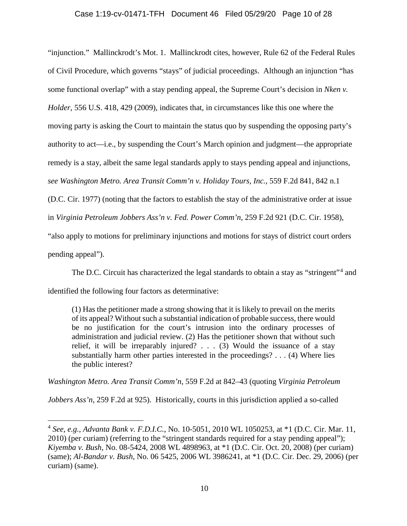### Case 1:19-cv-01471-TFH Document 46 Filed 05/29/20 Page 10 of 28

"injunction." Mallinckrodt's Mot. 1. Mallinckrodt cites, however, Rule 62 of the Federal Rules of Civil Procedure, which governs "stays" of judicial proceedings. Although an injunction "has some functional overlap" with a stay pending appeal, the Supreme Court's decision in *Nken v. Holder*, 556 U.S. 418, 429 (2009), indicates that, in circumstances like this one where the moving party is asking the Court to maintain the status quo by suspending the opposing party's authority to act—i.e., by suspending the Court's March opinion and judgment—the appropriate remedy is a stay, albeit the same legal standards apply to stays pending appeal and injunctions, *see Washington Metro. Area Transit Comm'n v. Holiday Tours, Inc.*, 559 F.2d 841, 842 n.1 (D.C. Cir. 1977) (noting that the factors to establish the stay of the administrative order at issue in *Virginia Petroleum Jobbers Ass'n v. Fed. Power Comm'n*, 259 F.2d 921 (D.C. Cir. 1958), "also apply to motions for preliminary injunctions and motions for stays of district court orders pending appeal").

The D.C. Circuit has characterized the legal standards to obtain a stay as "stringent"<sup>[4](#page-9-0)</sup> and identified the following four factors as determinative:

(1) Has the petitioner made a strong showing that it is likely to prevail on the merits of its appeal? Without such a substantial indication of probable success, there would be no justification for the court's intrusion into the ordinary processes of administration and judicial review. (2) Has the petitioner shown that without such relief, it will be irreparably injured? . . . (3) Would the issuance of a stay substantially harm other parties interested in the proceedings? . . . (4) Where lies the public interest?

*Washington Metro. Area Transit Comm'n*, 559 F.2d at 842–43 (quoting *Virginia Petroleum* 

*Jobbers Ass'n*, 259 F.2d at 925). Historically, courts in this jurisdiction applied a so-called

<span id="page-9-0"></span> <sup>4</sup> *See, e.g.*, *Advanta Bank v. F.D.I.C.*, No. 10-5051, 2010 WL 1050253, at \*1 (D.C. Cir. Mar. 11, 2010) (per curiam) (referring to the "stringent standards required for a stay pending appeal"); *Kiyemba v. Bush*, No. 08-5424, 2008 WL 4898963, at \*1 (D.C. Cir. Oct. 20, 2008) (per curiam) (same); *Al-Bandar v. Bush*, No. 06 5425, 2006 WL 3986241, at \*1 (D.C. Cir. Dec. 29, 2006) (per curiam) (same).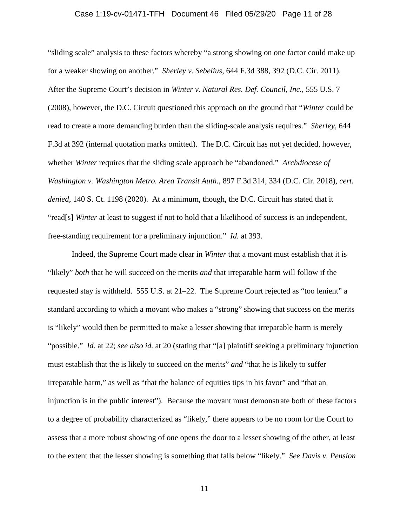### Case 1:19-cv-01471-TFH Document 46 Filed 05/29/20 Page 11 of 28

"sliding scale" analysis to these factors whereby "a strong showing on one factor could make up for a weaker showing on another." *Sherley v. Sebelius*, 644 F.3d 388, 392 (D.C. Cir. 2011). After the Supreme Court's decision in *Winter v. Natural Res. Def. Council, Inc.*, 555 U.S. 7 (2008), however, the D.C. Circuit questioned this approach on the ground that "*Winter* could be read to create a more demanding burden than the sliding-scale analysis requires." *Sherley*, 644 F.3d at 392 (internal quotation marks omitted). The D.C. Circuit has not yet decided, however, whether *Winter* requires that the sliding scale approach be "abandoned." *Archdiocese of Washington v. Washington Metro. Area Transit Auth.*, 897 F.3d 314, 334 (D.C. Cir. 2018), *cert. denied*, 140 S. Ct. 1198 (2020). At a minimum, though, the D.C. Circuit has stated that it "read[s] *Winter* at least to suggest if not to hold that a likelihood of success is an independent, free-standing requirement for a preliminary injunction." *Id.* at 393.

Indeed, the Supreme Court made clear in *Winter* that a movant must establish that it is "likely" *both* that he will succeed on the merits *and* that irreparable harm will follow if the requested stay is withheld. 555 U.S. at 21–22. The Supreme Court rejected as "too lenient" a standard according to which a movant who makes a "strong" showing that success on the merits is "likely" would then be permitted to make a lesser showing that irreparable harm is merely "possible." *Id.* at 22; *see also id.* at 20 (stating that "[a] plaintiff seeking a preliminary injunction must establish that the is likely to succeed on the merits" *and* "that he is likely to suffer irreparable harm," as well as "that the balance of equities tips in his favor" and "that an injunction is in the public interest"). Because the movant must demonstrate both of these factors to a degree of probability characterized as "likely," there appears to be no room for the Court to assess that a more robust showing of one opens the door to a lesser showing of the other, at least to the extent that the lesser showing is something that falls below "likely." *See Davis v. Pension*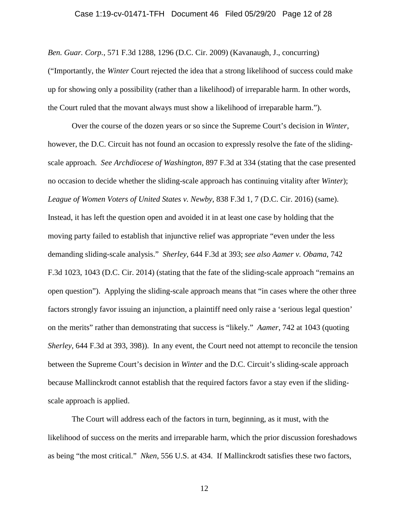#### Case 1:19-cv-01471-TFH Document 46 Filed 05/29/20 Page 12 of 28

*Ben. Guar. Corp.*, 571 F.3d 1288, 1296 (D.C. Cir. 2009) (Kavanaugh, J., concurring) ("Importantly, the *Winter* Court rejected the idea that a strong likelihood of success could make up for showing only a possibility (rather than a likelihood) of irreparable harm. In other words, the Court ruled that the movant always must show a likelihood of irreparable harm.").

Over the course of the dozen years or so since the Supreme Court's decision in *Winter*, however, the D.C. Circuit has not found an occasion to expressly resolve the fate of the slidingscale approach. *See Archdiocese of Washington*, 897 F.3d at 334 (stating that the case presented no occasion to decide whether the sliding-scale approach has continuing vitality after *Winter*); *League of Women Voters of United States v. Newby*, 838 F.3d 1, 7 (D.C. Cir. 2016) (same). Instead, it has left the question open and avoided it in at least one case by holding that the moving party failed to establish that injunctive relief was appropriate "even under the less demanding sliding-scale analysis." *Sherley*, 644 F.3d at 393; *see also Aamer v. Obama*, 742 F.3d 1023, 1043 (D.C. Cir. 2014) (stating that the fate of the sliding-scale approach "remains an open question"). Applying the sliding-scale approach means that "in cases where the other three factors strongly favor issuing an injunction, a plaintiff need only raise a 'serious legal question' on the merits" rather than demonstrating that success is "likely." *Aamer*, 742 at 1043 (quoting *Sherley*, 644 F.3d at 393, 398)). In any event, the Court need not attempt to reconcile the tension between the Supreme Court's decision in *Winter* and the D.C. Circuit's sliding-scale approach because Mallinckrodt cannot establish that the required factors favor a stay even if the slidingscale approach is applied.

The Court will address each of the factors in turn, beginning, as it must, with the likelihood of success on the merits and irreparable harm, which the prior discussion foreshadows as being "the most critical." *Nken*, 556 U.S. at 434. If Mallinckrodt satisfies these two factors,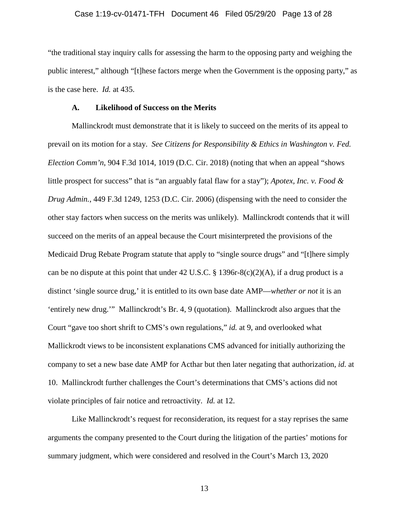### Case 1:19-cv-01471-TFH Document 46 Filed 05/29/20 Page 13 of 28

"the traditional stay inquiry calls for assessing the harm to the opposing party and weighing the public interest," although "[t]hese factors merge when the Government is the opposing party," as is the case here. *Id.* at 435.

#### **A. Likelihood of Success on the Merits**

Mallinckrodt must demonstrate that it is likely to succeed on the merits of its appeal to prevail on its motion for a stay. *See Citizens for Responsibility & Ethics in Washington v. Fed. Election Comm'n*, 904 F.3d 1014, 1019 (D.C. Cir. 2018) (noting that when an appeal "shows little prospect for success" that is "an arguably fatal flaw for a stay"); *Apotex, Inc. v. Food & Drug Admin.*, 449 F.3d 1249, 1253 (D.C. Cir. 2006) (dispensing with the need to consider the other stay factors when success on the merits was unlikely). Mallinckrodt contends that it will succeed on the merits of an appeal because the Court misinterpreted the provisions of the Medicaid Drug Rebate Program statute that apply to "single source drugs" and "[t]here simply can be no dispute at this point that under 42 U.S.C.  $\S$  1396r-8(c)(2)(A), if a drug product is a distinct 'single source drug,' it is entitled to its own base date AMP—*whether or not* it is an 'entirely new drug.'" Mallinckrodt's Br. 4, 9 (quotation). Mallinckrodt also argues that the Court "gave too short shrift to CMS's own regulations," *id.* at 9, and overlooked what Mallickrodt views to be inconsistent explanations CMS advanced for initially authorizing the company to set a new base date AMP for Acthar but then later negating that authorization, *id.* at 10. Mallinckrodt further challenges the Court's determinations that CMS's actions did not violate principles of fair notice and retroactivity. *Id.* at 12.

Like Mallinckrodt's request for reconsideration, its request for a stay reprises the same arguments the company presented to the Court during the litigation of the parties' motions for summary judgment, which were considered and resolved in the Court's March 13, 2020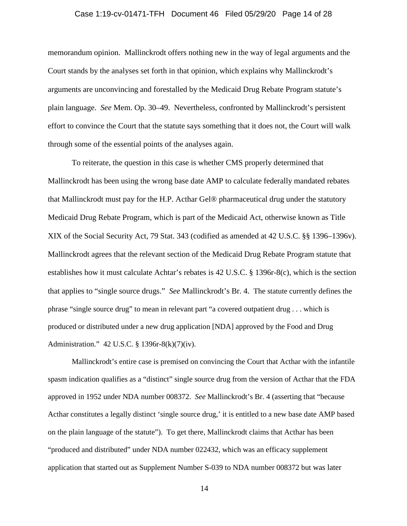#### Case 1:19-cv-01471-TFH Document 46 Filed 05/29/20 Page 14 of 28

memorandum opinion. Mallinckrodt offers nothing new in the way of legal arguments and the Court stands by the analyses set forth in that opinion, which explains why Mallinckrodt's arguments are unconvincing and forestalled by the Medicaid Drug Rebate Program statute's plain language. *See* Mem. Op. 30–49. Nevertheless, confronted by Mallinckrodt's persistent effort to convince the Court that the statute says something that it does not, the Court will walk through some of the essential points of the analyses again.

To reiterate, the question in this case is whether CMS properly determined that Mallinckrodt has been using the wrong base date AMP to calculate federally mandated rebates that Mallinckrodt must pay for the H.P. Acthar Gel® pharmaceutical drug under the statutory Medicaid Drug Rebate Program, which is part of the Medicaid Act, otherwise known as Title XIX of the Social Security Act, 79 Stat. 343 (codified as amended at 42 U.S.C. §§ 1396–1396v). Mallinckrodt agrees that the relevant section of the Medicaid Drug Rebate Program statute that establishes how it must calculate Achtar's rebates is 42 U.S.C. § 1396r-8(c), which is the section that applies to "single source drugs." *See* Mallinckrodt's Br. 4. The statute currently defines the phrase "single source drug" to mean in relevant part "a covered outpatient drug . . . which is produced or distributed under a new drug application [NDA] approved by the Food and Drug Administration." 42 U.S.C. § 1396r-8(k)(7)(iv).

Mallinckrodt's entire case is premised on convincing the Court that Acthar with the infantile spasm indication qualifies as a "distinct" single source drug from the version of Acthar that the FDA approved in 1952 under NDA number 008372. *See* Mallinckrodt's Br. 4 (asserting that "because Acthar constitutes a legally distinct 'single source drug,' it is entitled to a new base date AMP based on the plain language of the statute"). To get there, Mallinckrodt claims that Acthar has been "produced and distributed" under NDA number 022432, which was an efficacy supplement application that started out as Supplement Number S-039 to NDA number 008372 but was later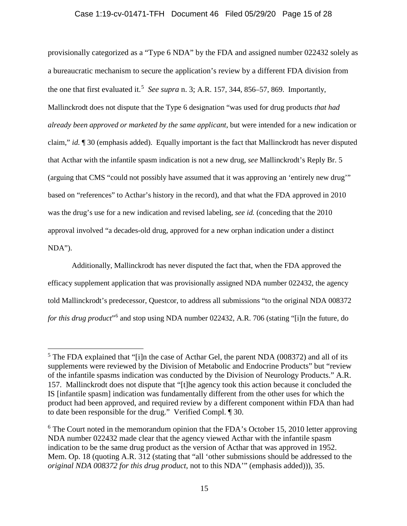### Case 1:19-cv-01471-TFH Document 46 Filed 05/29/20 Page 15 of 28

provisionally categorized as a "Type 6 NDA" by the FDA and assigned number 022432 solely as a bureaucratic mechanism to secure the application's review by a different FDA division from the one that first evaluated it.<sup>[5](#page-14-0)</sup> See supra n. 3; A.R. 157, 344, 856–57, 869. Importantly, Mallinckrodt does not dispute that the Type 6 designation "was used for drug products *that had already been approved or marketed by the same applicant*, but were intended for a new indication or claim," *id.* ¶ 30 (emphasis added). Equally important is the fact that Mallinckrodt has never disputed that Acthar with the infantile spasm indication is not a new drug, *see* Mallinckrodt's Reply Br. 5 (arguing that CMS "could not possibly have assumed that it was approving an 'entirely new drug'" based on "references" to Acthar's history in the record), and that what the FDA approved in 2010 was the drug's use for a new indication and revised labeling, *see id.* (conceding that the 2010 approval involved "a decades-old drug, approved for a new orphan indication under a distinct NDA").

Additionally, Mallinckrodt has never disputed the fact that, when the FDA approved the efficacy supplement application that was provisionally assigned NDA number 022432, the agency told Mallinckrodt's predecessor, Questcor, to address all submissions "to the original NDA 008372 *for this drug product*"[6](#page-14-1) and stop using NDA number 022432, A.R. 706 (stating "[i]n the future, do

<span id="page-14-0"></span> $5$  The FDA explained that "[i]n the case of Acthar Gel, the parent NDA (008372) and all of its supplements were reviewed by the Division of Metabolic and Endocrine Products" but "review of the infantile spasms indication was conducted by the Division of Neurology Products." A.R. 157. Mallinckrodt does not dispute that "[t]he agency took this action because it concluded the IS [infantile spasm] indication was fundamentally different from the other uses for which the product had been approved, and required review by a different component within FDA than had to date been responsible for the drug." Verified Compl. ¶ 30.

<span id="page-14-1"></span> $6$  The Court noted in the memorandum opinion that the FDA's October 15, 2010 letter approving NDA number 022432 made clear that the agency viewed Acthar with the infantile spasm indication to be the same drug product as the version of Acthar that was approved in 1952. Mem. Op. 18 (quoting A.R. 312 (stating that "all 'other submissions should be addressed to the *original NDA 008372 for this drug product*, not to this NDA'" (emphasis added))), 35.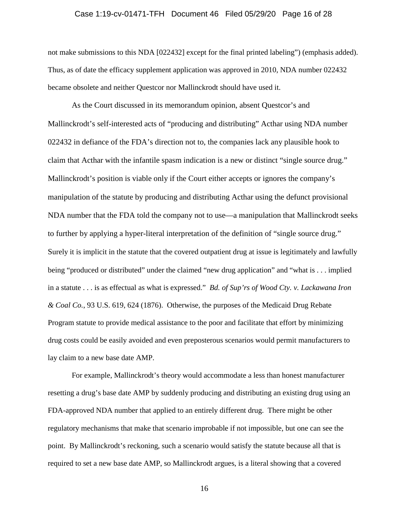#### Case 1:19-cv-01471-TFH Document 46 Filed 05/29/20 Page 16 of 28

not make submissions to this NDA [022432] except for the final printed labeling") (emphasis added). Thus, as of date the efficacy supplement application was approved in 2010, NDA number 022432 became obsolete and neither Questcor nor Mallinckrodt should have used it.

As the Court discussed in its memorandum opinion, absent Questcor's and Mallinckrodt's self-interested acts of "producing and distributing" Acthar using NDA number 022432 in defiance of the FDA's direction not to, the companies lack any plausible hook to claim that Acthar with the infantile spasm indication is a new or distinct "single source drug." Mallinckrodt's position is viable only if the Court either accepts or ignores the company's manipulation of the statute by producing and distributing Acthar using the defunct provisional NDA number that the FDA told the company not to use—a manipulation that Mallinckrodt seeks to further by applying a hyper-literal interpretation of the definition of "single source drug." Surely it is implicit in the statute that the covered outpatient drug at issue is legitimately and lawfully being "produced or distributed" under the claimed "new drug application" and "what is . . . implied in a statute . . . is as effectual as what is expressed." *Bd. of Sup'rs of Wood Cty. v. Lackawana Iron & Coal Co.*, 93 U.S. 619, 624 (1876). Otherwise, the purposes of the Medicaid Drug Rebate Program statute to provide medical assistance to the poor and facilitate that effort by minimizing drug costs could be easily avoided and even preposterous scenarios would permit manufacturers to lay claim to a new base date AMP.

For example, Mallinckrodt's theory would accommodate a less than honest manufacturer resetting a drug's base date AMP by suddenly producing and distributing an existing drug using an FDA-approved NDA number that applied to an entirely different drug. There might be other regulatory mechanisms that make that scenario improbable if not impossible, but one can see the point. By Mallinckrodt's reckoning, such a scenario would satisfy the statute because all that is required to set a new base date AMP, so Mallinckrodt argues, is a literal showing that a covered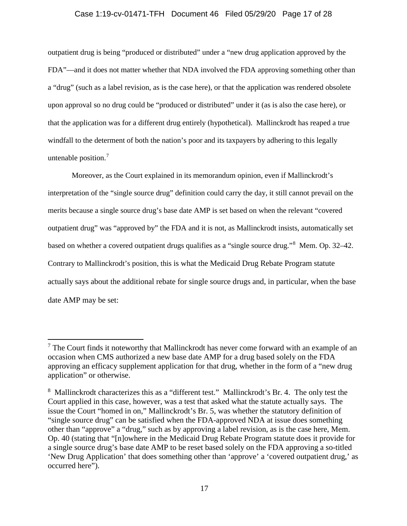### Case 1:19-cv-01471-TFH Document 46 Filed 05/29/20 Page 17 of 28

outpatient drug is being "produced or distributed" under a "new drug application approved by the FDA"—and it does not matter whether that NDA involved the FDA approving something other than a "drug" (such as a label revision, as is the case here), or that the application was rendered obsolete upon approval so no drug could be "produced or distributed" under it (as is also the case here), or that the application was for a different drug entirely (hypothetical). Mallinckrodt has reaped a true windfall to the determent of both the nation's poor and its taxpayers by adhering to this legally untenable position.<sup>[7](#page-16-0)</sup>

Moreover, as the Court explained in its memorandum opinion, even if Mallinckrodt's interpretation of the "single source drug" definition could carry the day, it still cannot prevail on the merits because a single source drug's base date AMP is set based on when the relevant "covered outpatient drug" was "approved by" the FDA and it is not, as Mallinckrodt insists, automatically set based on whether a covered outpatient drugs qualifies as a "single source drug."[8](#page-16-1) Mem. Op. 32–42. Contrary to Mallinckrodt's position, this is what the Medicaid Drug Rebate Program statute actually says about the additional rebate for single source drugs and, in particular, when the base date AMP may be set:

<span id="page-16-0"></span> $<sup>7</sup>$  The Court finds it noteworthy that Mallinckrodt has never come forward with an example of an</sup> occasion when CMS authorized a new base date AMP for a drug based solely on the FDA approving an efficacy supplement application for that drug, whether in the form of a "new drug application" or otherwise.

<span id="page-16-1"></span><sup>&</sup>lt;sup>8</sup> Mallinckrodt characterizes this as a "different test." Mallinckrodt's Br. 4. The only test the Court applied in this case, however, was a test that asked what the statute actually says. The issue the Court "homed in on," Mallinckrodt's Br. 5, was whether the statutory definition of "single source drug" can be satisfied when the FDA-approved NDA at issue does something other than "approve" a "drug," such as by approving a label revision, as is the case here, Mem. Op. 40 (stating that "[n]owhere in the Medicaid Drug Rebate Program statute does it provide for a single source drug's base date AMP to be reset based solely on the FDA approving a so-titled 'New Drug Application' that does something other than 'approve' a 'covered outpatient drug,' as occurred here").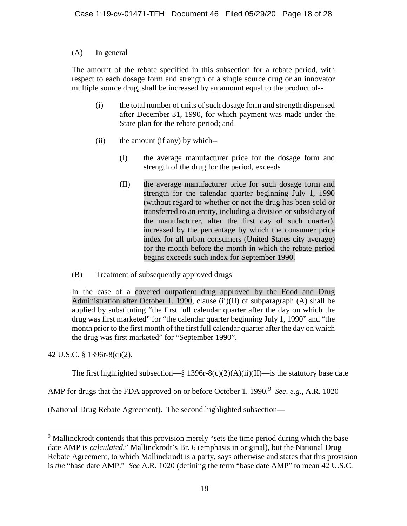# (A) In general

The amount of the rebate specified in this subsection for a rebate period, with respect to each dosage form and strength of a single source drug or an innovator multiple source drug, shall be increased by an amount equal to the product of--

- (i) the total number of units of such dosage form and strength dispensed after December 31, 1990, for which payment was made under the State plan for the rebate period; and
- (ii) the amount (if any) by which--
	- (I) the average manufacturer price for the dosage form and strength of the drug for the period, exceeds
	- (II) the average manufacturer price for such dosage form and strength for the calendar quarter beginning July 1, 1990 (without regard to whether or not the drug has been sold or transferred to an entity, including a division or subsidiary of the manufacturer, after the first day of such quarter), increased by the percentage by which the consumer price index for all urban consumers (United States city average) for the month before the month in which the rebate period begins exceeds such index for September 1990.
- (B) Treatment of subsequently approved drugs

In the case of a covered outpatient drug approved by the Food and Drug Administration after October 1, 1990, clause (ii)(II) of subparagraph (A) shall be applied by substituting "the first full calendar quarter after the day on which the drug was first marketed" for "the calendar quarter beginning July 1, 1990" and "the month prior to the first month of the first full calendar quarter after the day on which the drug was first marketed" for "September 1990".

42 U.S.C. § 1396r-8(c)(2).

The first highlighted subsection—§ 1396r-8(c)(2)(A)(ii)(II)—is the statutory base date

AMP for drugs that the FDA approved on or before October 1, 1990. [9](#page-17-0) *See, e.g.*, A.R. 1020

(National Drug Rebate Agreement). The second highlighted subsection—

<span id="page-17-0"></span><sup>&</sup>lt;sup>9</sup> Mallinckrodt contends that this provision merely "sets the time period during which the base date AMP is *calculated*," Mallinckrodt's Br. 6 (emphasis in original), but the National Drug Rebate Agreement, to which Mallinckrodt is a party, says otherwise and states that this provision is *the* "base date AMP." *See* A.R. 1020 (defining the term "base date AMP" to mean 42 U.S.C.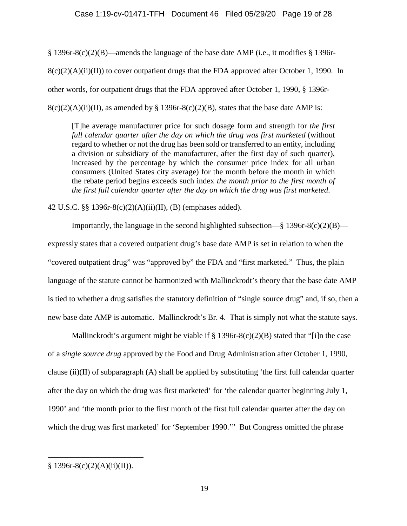§ 1396r-8(c)(2)(B)—amends the language of the base date AMP (i.e., it modifies § 1396r- $8(c)(2)(A)(ii)(II)$  to cover outpatient drugs that the FDA approved after October 1, 1990. In other words, for outpatient drugs that the FDA approved after October 1, 1990, § 1396r- $8(c)(2)(A)(ii)(II)$ , as amended by § 1396r-8(c)(2)(B), states that the base date AMP is:

[T]he average manufacturer price for such dosage form and strength for *the first full calendar quarter after the day on which the drug was first marketed* (without regard to whether or not the drug has been sold or transferred to an entity, including a division or subsidiary of the manufacturer, after the first day of such quarter), increased by the percentage by which the consumer price index for all urban consumers (United States city average) for the month before the month in which the rebate period begins exceeds such index *the month prior to the first month of the first full calendar quarter after the day on which the drug was first marketed*.

42 U.S.C. §§ 1396r-8(c)(2)(A)(ii)(II), (B) (emphases added).

Importantly, the language in the second highlighted subsection—§ 1396r-8(c)(2)(B) expressly states that a covered outpatient drug's base date AMP is set in relation to when the "covered outpatient drug" was "approved by" the FDA and "first marketed." Thus, the plain language of the statute cannot be harmonized with Mallinckrodt's theory that the base date AMP is tied to whether a drug satisfies the statutory definition of "single source drug" and, if so, then a new base date AMP is automatic. Mallinckrodt's Br. 4. That is simply not what the statute says.

Mallinckrodt's argument might be viable if  $\S 1396r-8(c)(2)(B)$  stated that "[i]n the case of a *single source drug* approved by the Food and Drug Administration after October 1, 1990, clause (ii)(II) of subparagraph (A) shall be applied by substituting 'the first full calendar quarter after the day on which the drug was first marketed' for 'the calendar quarter beginning July 1, 1990' and 'the month prior to the first month of the first full calendar quarter after the day on which the drug was first marketed' for 'September 1990.'" But Congress omitted the phrase

 $\overline{a}$ 

 $§ 1396r-8(c)(2)(A)(ii)(II)).$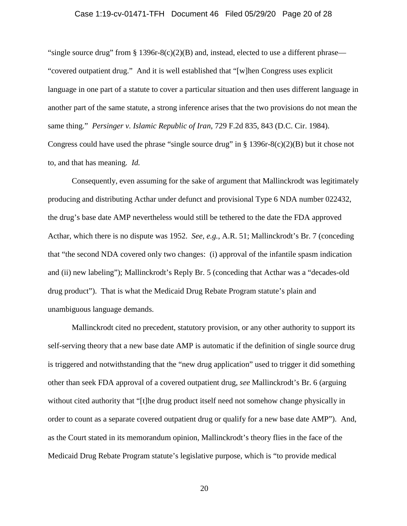#### Case 1:19-cv-01471-TFH Document 46 Filed 05/29/20 Page 20 of 28

"single source drug" from § 1396r-8(c)(2)(B) and, instead, elected to use a different phrase— "covered outpatient drug." And it is well established that "[w]hen Congress uses explicit language in one part of a statute to cover a particular situation and then uses different language in another part of the same statute, a strong inference arises that the two provisions do not mean the same thing." *Persinger v. Islamic Republic of Iran*, 729 F.2d 835, 843 (D.C. Cir. 1984). Congress could have used the phrase "single source drug" in  $\S$  1396r-8(c)(2)(B) but it chose not to, and that has meaning. *Id.*

Consequently, even assuming for the sake of argument that Mallinckrodt was legitimately producing and distributing Acthar under defunct and provisional Type 6 NDA number 022432, the drug's base date AMP nevertheless would still be tethered to the date the FDA approved Acthar, which there is no dispute was 1952. *See, e.g.*, A.R. 51; Mallinckrodt's Br. 7 (conceding that "the second NDA covered only two changes: (i) approval of the infantile spasm indication and (ii) new labeling"); Mallinckrodt's Reply Br. 5 (conceding that Acthar was a "decades-old drug product"). That is what the Medicaid Drug Rebate Program statute's plain and unambiguous language demands.

Mallinckrodt cited no precedent, statutory provision, or any other authority to support its self-serving theory that a new base date AMP is automatic if the definition of single source drug is triggered and notwithstanding that the "new drug application" used to trigger it did something other than seek FDA approval of a covered outpatient drug, *see* Mallinckrodt's Br. 6 (arguing without cited authority that "[t]he drug product itself need not somehow change physically in order to count as a separate covered outpatient drug or qualify for a new base date AMP"). And, as the Court stated in its memorandum opinion, Mallinckrodt's theory flies in the face of the Medicaid Drug Rebate Program statute's legislative purpose, which is "to provide medical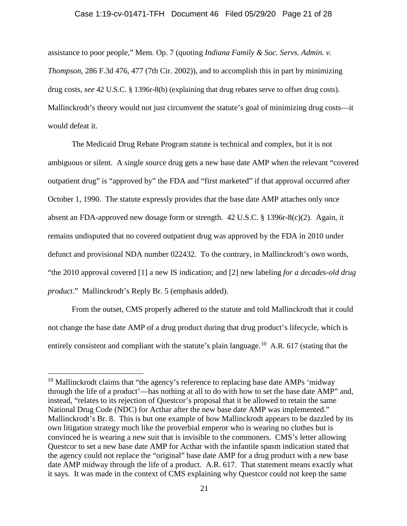#### Case 1:19-cv-01471-TFH Document 46 Filed 05/29/20 Page 21 of 28

assistance to poor people," Mem. Op. 7 (quoting *Indiana Family & Soc. Servs. Admin. v. Thompson*, 286 F.3d 476, 477 (7th Cir. 2002)), and to accomplish this in part by minimizing drug costs, *see* 42 U.S.C. § 1396r-8(b) (explaining that drug rebates serve to offset drug costs). Mallinckrodt's theory would not just circumvent the statute's goal of minimizing drug costs—it would defeat it.

The Medicaid Drug Rebate Program statute is technical and complex, but it is not ambiguous or silent. A single source drug gets a new base date AMP when the relevant "covered outpatient drug" is "approved by" the FDA and "first marketed" if that approval occurred after October 1, 1990. The statute expressly provides that the base date AMP attaches only once absent an FDA-approved new dosage form or strength. 42 U.S.C. § 1396r-8(c)(2). Again, it remains undisputed that no covered outpatient drug was approved by the FDA in 2010 under defunct and provisional NDA number 022432. To the contrary, in Mallinckrodt's own words, "the 2010 approval covered [1] a new IS indication; and [2] new labeling *for a decades-old drug product*." Mallinckrodt's Reply Br. 5 (emphasis added).

From the outset, CMS properly adhered to the statute and told Mallinckrodt that it could not change the base date AMP of a drug product during that drug product's lifecycle, which is entirely consistent and compliant with the statute's plain language.<sup>10</sup> A.R. 617 (stating that the

<span id="page-20-0"></span> $10$  Mallinckrodt claims that "the agency's reference to replacing base date AMPs 'midway through the life of a product'—has nothing at all to do with how to set the base date AMP" and, instead, "relates to its rejection of Questcor's proposal that it be allowed to retain the same National Drug Code (NDC) for Acthar after the new base date AMP was implemented." Mallinckrodt's Br. 8. This is but one example of how Mallinckrodt appears to be dazzled by its own litigation strategy much like the proverbial emperor who is wearing no clothes but is convinced he is wearing a new suit that is invisible to the commoners. CMS's letter allowing Questcor to set a new base date AMP for Acthar with the infantile spasm indication stated that the agency could not replace the "original" base date AMP for a drug product with a new base date AMP midway through the life of a product. A.R. 617. That statement means exactly what it says. It was made in the context of CMS explaining why Questcor could not keep the same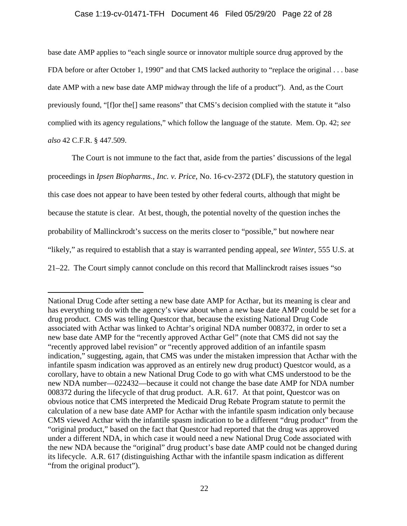### Case 1:19-cv-01471-TFH Document 46 Filed 05/29/20 Page 22 of 28

base date AMP applies to "each single source or innovator multiple source drug approved by the FDA before or after October 1, 1990" and that CMS lacked authority to "replace the original . . . base date AMP with a new base date AMP midway through the life of a product"). And, as the Court previously found, "[f]or the[] same reasons" that CMS's decision complied with the statute it "also complied with its agency regulations," which follow the language of the statute. Mem. Op. 42; *see also* 42 C.F.R. § 447.509.

The Court is not immune to the fact that, aside from the parties' discussions of the legal proceedings in *Ipsen Biopharms., Inc. v. Price*, No. 16-cv-2372 (DLF), the statutory question in this case does not appear to have been tested by other federal courts, although that might be because the statute is clear. At best, though, the potential novelty of the question inches the probability of Mallinckrodt's success on the merits closer to "possible," but nowhere near "likely," as required to establish that a stay is warranted pending appeal, *see Winter*, 555 U.S. at 21–22. The Court simply cannot conclude on this record that Mallinckrodt raises issues "so

 $\overline{a}$ 

National Drug Code after setting a new base date AMP for Acthar, but its meaning is clear and has everything to do with the agency's view about when a new base date AMP could be set for a drug product. CMS was telling Questcor that, because the existing National Drug Code associated with Acthar was linked to Achtar's original NDA number 008372, in order to set a new base date AMP for the "recently approved Acthar Gel" (note that CMS did not say the "recently approved label revision" or "recently approved addition of an infantile spasm indication," suggesting, again, that CMS was under the mistaken impression that Acthar with the infantile spasm indication was approved as an entirely new drug product) Questcor would, as a corollary, have to obtain a new National Drug Code to go with what CMS understood to be the new NDA number—022432—because it could not change the base date AMP for NDA number 008372 during the lifecycle of that drug product. A.R. 617. At that point, Questcor was on obvious notice that CMS interpreted the Medicaid Drug Rebate Program statute to permit the calculation of a new base date AMP for Acthar with the infantile spasm indication only because CMS viewed Acthar with the infantile spasm indication to be a different "drug product" from the "original product," based on the fact that Questcor had reported that the drug was approved under a different NDA, in which case it would need a new National Drug Code associated with the new NDA because the "original" drug product's base date AMP could not be changed during its lifecycle. A.R. 617 (distinguishing Acthar with the infantile spasm indication as different "from the original product").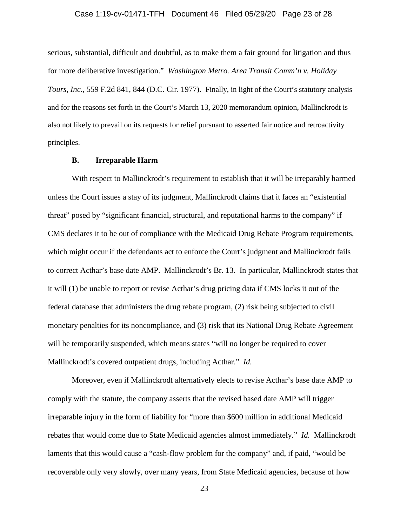# Case 1:19-cv-01471-TFH Document 46 Filed 05/29/20 Page 23 of 28

serious, substantial, difficult and doubtful, as to make them a fair ground for litigation and thus for more deliberative investigation." *Washington Metro. Area Transit Comm'n v. Holiday Tours, Inc.*, 559 F.2d 841, 844 (D.C. Cir. 1977). Finally, in light of the Court's statutory analysis and for the reasons set forth in the Court's March 13, 2020 memorandum opinion, Mallinckrodt is also not likely to prevail on its requests for relief pursuant to asserted fair notice and retroactivity principles.

### **B. Irreparable Harm**

With respect to Mallinckrodt's requirement to establish that it will be irreparably harmed unless the Court issues a stay of its judgment, Mallinckrodt claims that it faces an "existential threat" posed by "significant financial, structural, and reputational harms to the company" if CMS declares it to be out of compliance with the Medicaid Drug Rebate Program requirements, which might occur if the defendants act to enforce the Court's judgment and Mallinckrodt fails to correct Acthar's base date AMP. Mallinckrodt's Br. 13. In particular, Mallinckrodt states that it will (1) be unable to report or revise Acthar's drug pricing data if CMS locks it out of the federal database that administers the drug rebate program, (2) risk being subjected to civil monetary penalties for its noncompliance, and (3) risk that its National Drug Rebate Agreement will be temporarily suspended, which means states "will no longer be required to cover Mallinckrodt's covered outpatient drugs, including Acthar." *Id.* 

Moreover, even if Mallinckrodt alternatively elects to revise Acthar's base date AMP to comply with the statute, the company asserts that the revised based date AMP will trigger irreparable injury in the form of liability for "more than \$600 million in additional Medicaid rebates that would come due to State Medicaid agencies almost immediately." *Id.* Mallinckrodt laments that this would cause a "cash-flow problem for the company" and, if paid, "would be recoverable only very slowly, over many years, from State Medicaid agencies, because of how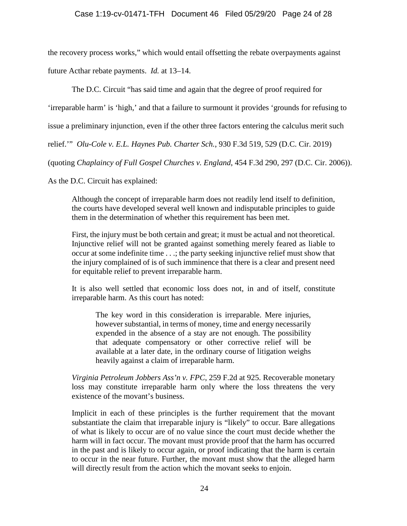the recovery process works," which would entail offsetting the rebate overpayments against future Acthar rebate payments. *Id.* at 13–14.

The D.C. Circuit "has said time and again that the degree of proof required for

'irreparable harm' is 'high,' and that a failure to surmount it provides 'grounds for refusing to

issue a preliminary injunction, even if the other three factors entering the calculus merit such

relief.'" *Olu-Cole v. E.L. Haynes Pub. Charter Sch.*, 930 F.3d 519, 529 (D.C. Cir. 2019)

(quoting *Chaplaincy of Full Gospel Churches v. England*, 454 F.3d 290, 297 (D.C. Cir. 2006)).

As the D.C. Circuit has explained:

Although the concept of irreparable harm does not readily lend itself to definition, the courts have developed several well known and indisputable principles to guide them in the determination of whether this requirement has been met.

First, the injury must be both certain and great; it must be actual and not theoretical. Injunctive relief will not be granted against something merely feared as liable to occur at some indefinite time . . .; the party seeking injunctive relief must show that the injury complained of is of such imminence that there is a clear and present need for equitable relief to prevent irreparable harm.

It is also well settled that economic loss does not, in and of itself, constitute irreparable harm. As this court has noted:

The key word in this consideration is irreparable. Mere injuries, however substantial, in terms of money, time and energy necessarily expended in the absence of a stay are not enough. The possibility that adequate compensatory or other corrective relief will be available at a later date, in the ordinary course of litigation weighs heavily against a claim of irreparable harm.

*Virginia Petroleum Jobbers Ass'n v. FPC*, 259 F.2d at 925. Recoverable monetary loss may constitute irreparable harm only where the loss threatens the very existence of the movant's business.

Implicit in each of these principles is the further requirement that the movant substantiate the claim that irreparable injury is "likely" to occur*.* Bare allegations of what is likely to occur are of no value since the court must decide whether the harm will in fact occur. The movant must provide proof that the harm has occurred in the past and is likely to occur again, or proof indicating that the harm is certain to occur in the near future. Further, the movant must show that the alleged harm will directly result from the action which the movant seeks to enjoin.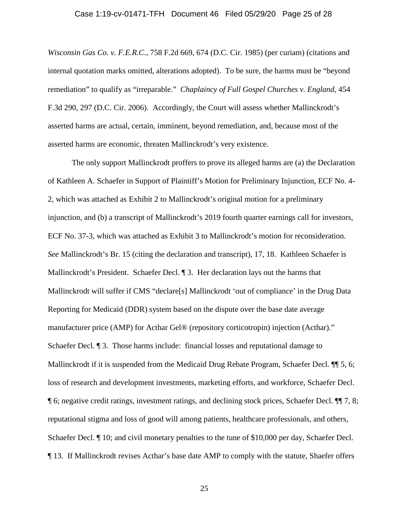#### Case 1:19-cv-01471-TFH Document 46 Filed 05/29/20 Page 25 of 28

*Wisconsin Gas Co. v. F.E.R.C.*, 758 F.2d 669, 674 (D.C. Cir. 1985) (per curiam) (citations and internal quotation marks omitted, alterations adopted). To be sure, the harms must be "beyond remediation" to qualify as "irreparable." *Chaplaincy of Full Gospel Churches v. England*, 454 F.3d 290, 297 (D.C. Cir. 2006). Accordingly, the Court will assess whether Mallinckrodt's asserted harms are actual, certain, imminent, beyond remediation, and, because most of the asserted harms are economic, threaten Mallinckrodt's very existence.

The only support Mallinckrodt proffers to prove its alleged harms are (a) the Declaration of Kathleen A. Schaefer in Support of Plaintiff's Motion for Preliminary Injunction, ECF No. 4- 2, which was attached as Exhibit 2 to Mallinckrodt's original motion for a preliminary injunction, and (b) a transcript of Mallinckrodt's 2019 fourth quarter earnings call for investors, ECF No. 37-3, which was attached as Exhibit 3 to Mallinckrodt's motion for reconsideration. *See* Mallinckrodt's Br. 15 (citing the declaration and transcript), 17, 18. Kathleen Schaefer is Mallinckrodt's President. Schaefer Decl. 13. Her declaration lays out the harms that Mallinckrodt will suffer if CMS "declare[s] Mallinckrodt 'out of compliance' in the Drug Data Reporting for Medicaid (DDR) system based on the dispute over the base date average manufacturer price (AMP) for Acthar Gel® (repository corticotropin) injection (Acthar)." Schaefer Decl. ¶ 3. Those harms include: financial losses and reputational damage to Mallinckrodt if it is suspended from the Medicaid Drug Rebate Program, Schaefer Decl.  $\P$  5, 6; loss of research and development investments, marketing efforts, and workforce, Schaefer Decl. ¶ 6; negative credit ratings, investment ratings, and declining stock prices, Schaefer Decl. ¶¶ 7, 8; reputational stigma and loss of good will among patients, healthcare professionals, and others, Schaefer Decl.  $\P$  10; and civil monetary penalties to the tune of \$10,000 per day, Schaefer Decl. ¶ 13. If Mallinckrodt revises Acthar's base date AMP to comply with the statute, Shaefer offers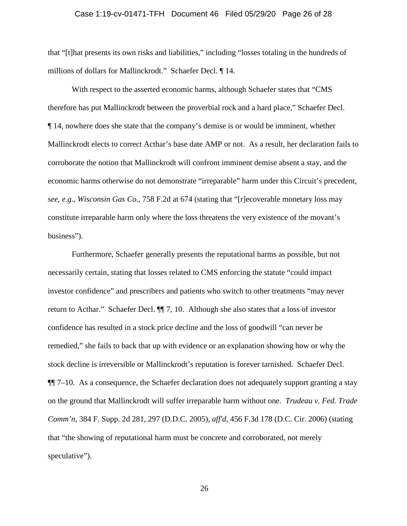#### Case 1:19-cv-01471-TFH Document 46 Filed 05/29/20 Page 26 of 28

that "[t]hat presents its own risks and liabilities," including "losses totaling in the hundreds of millions of dollars for Mallinckrodt." Schaefer Decl. ¶ 14.

With respect to the asserted economic harms, although Schaefer states that "CMS therefore has put Mallinckrodt between the proverbial rock and a hard place," Schaefer Decl. ¶ 14, nowhere does she state that the company's demise is or would be imminent, whether Mallinckrodt elects to correct Acthar's base date AMP or not. As a result, her declaration fails to corroborate the notion that Mallinckrodt will confront imminent demise absent a stay, and the economic harms otherwise do not demonstrate "irreparable" harm under this Circuit's precedent, *see, e.g.*, *Wisconsin Gas Co.*, 758 F.2d at 674 (stating that "[r]ecoverable monetary loss may constitute irreparable harm only where the loss threatens the very existence of the movant's business").

Furthermore, Schaefer generally presents the reputational harms as possible, but not necessarily certain, stating that losses related to CMS enforcing the statute "could impact investor confidence" and prescribers and patients who switch to other treatments "may never return to Acthar." Schaefer Decl. ¶¶ 7, 10. Although she also states that a loss of investor confidence has resulted in a stock price decline and the loss of goodwill "can never be remedied," she fails to back that up with evidence or an explanation showing how or why the stock decline is irreversible or Mallinckrodt's reputation is forever tarnished. Schaefer Decl.  $\P$ [ $7-10$ . As a consequence, the Schaefer declaration does not adequately support granting a stay on the ground that Mallinckrodt will suffer irreparable harm without one. *Trudeau v. Fed. Trade Comm'n*, 384 F. Supp. 2d 281, 297 (D.D.C. 2005), *aff'd*, 456 F.3d 178 (D.C. Cir. 2006) (stating that "the showing of reputational harm must be concrete and corroborated, not merely speculative").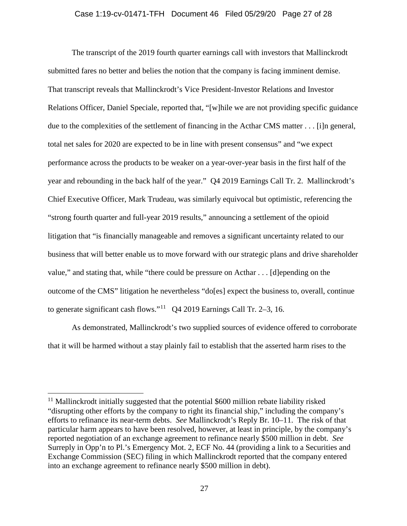### Case 1:19-cv-01471-TFH Document 46 Filed 05/29/20 Page 27 of 28

The transcript of the 2019 fourth quarter earnings call with investors that Mallinckrodt submitted fares no better and belies the notion that the company is facing imminent demise. That transcript reveals that Mallinckrodt's Vice President-Investor Relations and Investor Relations Officer, Daniel Speciale, reported that, "[w]hile we are not providing specific guidance due to the complexities of the settlement of financing in the Acthar CMS matter . . . [i]n general, total net sales for 2020 are expected to be in line with present consensus" and "we expect performance across the products to be weaker on a year-over-year basis in the first half of the year and rebounding in the back half of the year." Q4 2019 Earnings Call Tr. 2. Mallinckrodt's Chief Executive Officer, Mark Trudeau, was similarly equivocal but optimistic, referencing the "strong fourth quarter and full-year 2019 results," announcing a settlement of the opioid litigation that "is financially manageable and removes a significant uncertainty related to our business that will better enable us to move forward with our strategic plans and drive shareholder value," and stating that, while "there could be pressure on Acthar . . . [d]epending on the outcome of the CMS" litigation he nevertheless "do[es] expect the business to, overall, continue to generate significant cash flows."<sup>11</sup> Q4 2019 Earnings Call Tr. 2–3, 16.

As demonstrated, Mallinckrodt's two supplied sources of evidence offered to corroborate that it will be harmed without a stay plainly fail to establish that the asserted harm rises to the

<span id="page-26-0"></span> $11$  Mallinckrodt initially suggested that the potential \$600 million rebate liability risked "disrupting other efforts by the company to right its financial ship," including the company's efforts to refinance its near-term debts. *See* Mallinckrodt's Reply Br. 10–11. The risk of that particular harm appears to have been resolved, however, at least in principle, by the company's reported negotiation of an exchange agreement to refinance nearly \$500 million in debt. *See*  Surreply in Opp'n to Pl.'s Emergency Mot. 2, ECF No. 44 (providing a link to a Securities and Exchange Commission (SEC) filing in which Mallinckrodt reported that the company entered into an exchange agreement to refinance nearly \$500 million in debt).